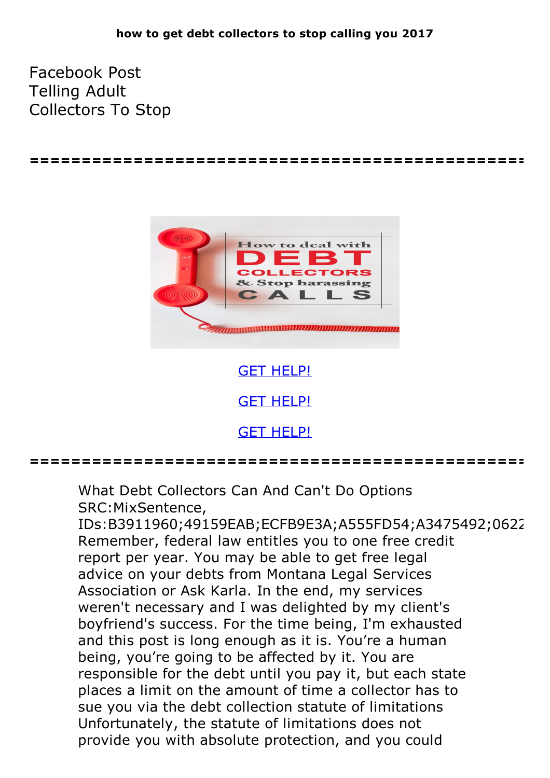**================================================**

Facebook Post Telling Adult Collectors To Stop



GET [HELP!](https://runpdf.xyz/pdf) **GET [HELP!](https://runpdf.xyz/pdf)** GET [HELP!](https://runpdf.xyz/pdf)

**================================================**

What Debt Collectors Can And Can't Do Options SRC:MixSentence,

IDs:B3911960;49159EAB;ECFB9E3A;A555FD54;A3475492;0622 Remember, federal law entitles you to one free credit report per year. You may be able to get free legal advice on your debts from Montana Legal Services Association or Ask Karla. In the end, my services weren't necessary and I was delighted by my client's boyfriend's success. For the time being, I'm exhausted and this post is long enough as it is. You're a human being, you're going to be affected by it. You are responsible for the debt until you pay it, but each state places a limit on the amount of time a collector has to sue you via the debt collection statute of limitations Unfortunately, the statute of limitations does not provide you with absolute protection, and you could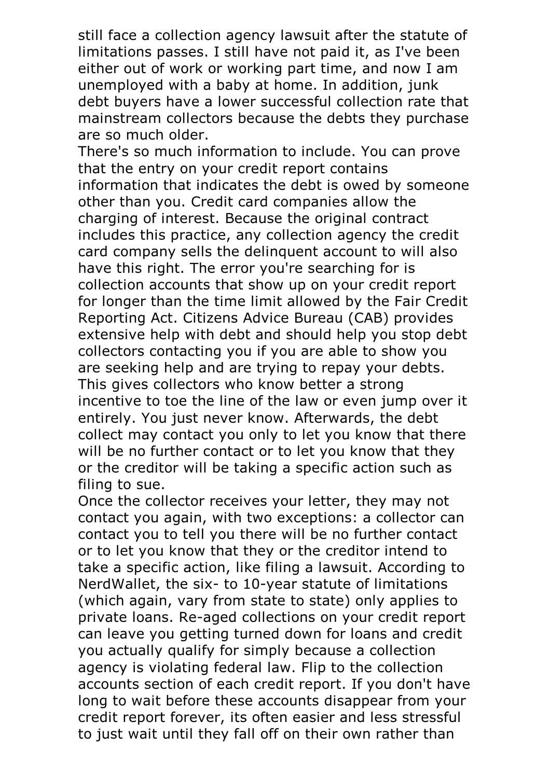still face a collection agency lawsuit after the statute of limitations passes. I still have not paid it, as I've been either out of work or working part time, and now I am unemployed with a baby at home. In addition, junk debt buyers have a lower successful collection rate that mainstream collectors because the debts they purchase are so much older. There's so much information to include. You can prove

that the entry on your credit report contains information that indicates the debt is owed by someone other than you. Credit card companies allow the charging of interest. Because the original contract includes this practice, any collection agency the credit card company sells the delinquent account to will also have this right. The error you're searching for is collection accounts that show up on your credit report for longer than the time limit allowed by the Fair Credit Reporting Act. Citizens Advice Bureau (CAB) provides extensive help with debt and should help you stop debt collectors contacting you if you are able to show you are seeking help and are trying to repay your debts. This gives collectors who know better <sup>a</sup> strong incentive to toe the line of the law or even jump over it entirely. You just never know. Afterwards, the debt collect may contact you only to let you know that there will be no further contact or to let you know that they or the creditor will be taking a specific action such as filing to sue.<br>Once the collector receives your letter, they may not

contact you again, with two exceptions: a collector can contact you to tell you there will be no further contact or to let you know that they or the creditor intend to take a specific action, like filing a lawsuit. According to NerdWallet, the six- to 10-year statute of limitations (which again, vary from state to state) only applies to private loans. Re-aged collections on your credit report can leave you getting turned down for loans and credit you actually qualify for simply because a collection agency is violating federal law. Flip to the collection accounts section of each credit report. If you don't have long to wait before these accounts disappear from your credit report forever, its often easier and less stressful to just wait until they fall off on their own rather than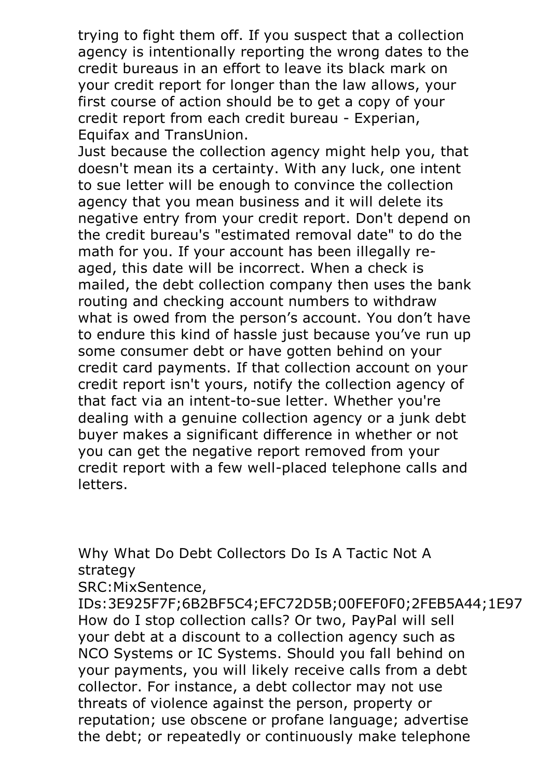trying to fight them off. If you suspect that a collection agency is intentionally reporting the wrong dates to the credit bureaus in an effort to leave its black mark on your credit report for longer than the law allows, your first course of action should be to get a copy of your credit report from each credit bureau - Experian, Equifax and TransUnion.

Just because the collection agency might help you, that doesn't mean its a certainty. With any luck, one intent to sue letter will be enough to convince the collection agency that you mean business and it will delete its negative entry from your credit report. Don't depend on the credit bureau's "estimated removal date" to do the math for you. If your account has been illegally reaged, this date will be incorrect. When a check is mailed, the debt collection company then uses the bank routing and checking account numbers to withdraw what is owed from the person's account. You don't have to endure this kind of hassle just because you've run up some consumer debt or have gotten behind on your credit card payments. If that collection account on your credit report isn't yours, notify the collection agency of that fact via an intent-to-sue letter. Whether you're dealing with a genuine collection agency or a junk debt buyer makes a significant difference in whether or not you can get the negative report removed from your credit report with a few well-placed telephone calls and letters.

Why What Do Debt Collectors Do Is A Tactic Not A strategy

SRC:MixSentence,

IDs:3E925F7F;6B2BF5C4;EFC72D5B;00FEF0F0;2FEB5A44;1E97| How do I stop collection calls? Or two, PayPal will sell your debt at a discount to a collection agency such as NCO Systems or IC Systems. Should you fall behind on your payments, you will likely receive calls from a debt collector. For instance, a debt collector may not use threats of violence against the person, property or reputation; use obscene or profane language; advertise the debt; or repeatedly or continuously make telephone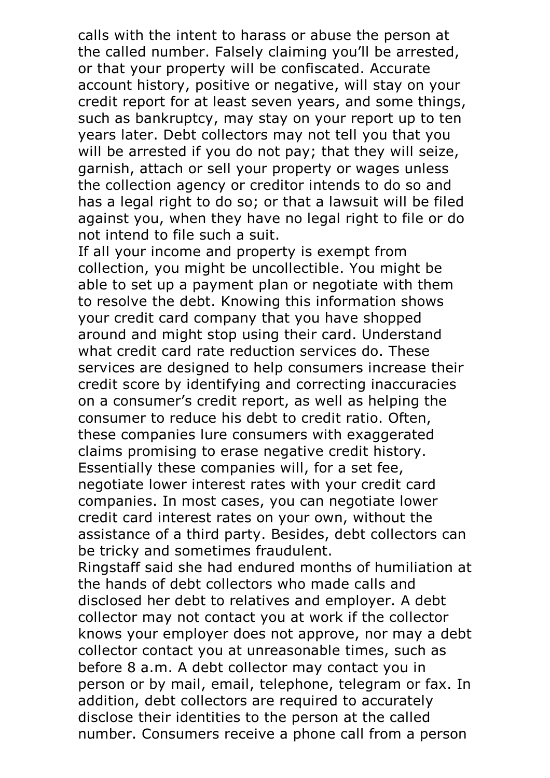calls with the intent to harass or abuse the person at the called number. Falsely claiming you'll be arrested, or that your property will be confiscated. Accurate account history, positive or negative, will stay on your credit report for at least seven years, and some things, such as bankruptcy, may stay on your report up to ten years later. Debt collectors may not tell you that you will be arrested if you do not pay; that they will seize, garnish, attach or sell your property or wages unless the collection agency or creditor intends to do so and has a legal right to do so; or that a lawsuit will be filed against you, when they have no legal right to file or do not intend to file such a suit.

If all your income and property is exempt from collection, you might be uncollectible. You might be able to set up a payment plan or negotiate with them to resolve the debt. Knowing this information shows your credit card company that you have shopped around and might stop using their card. Understand what credit card rate reduction services do. These services are designed to help consumers increase their credit score by identifying and correcting inaccuracies on a consumer's credit report, as well as helping the consumer to reduce his debt to credit ratio. Often, these companies lure consumers with exaggerated claims promising to erase negative credit history. Essentially these companies will, for <sup>a</sup> set fee, negotiate lower interest rates with your credit card companies. In most cases, you can negotiate lower credit card interest rates on your own, without the assistance of a third party. Besides, debt collectors can be tricky and sometimes fraudulent.

Ringstaff said she had endured months of humiliation at the hands of debt collectors who made calls and disclosed her debt to relatives and employer. A debt collector may not contact you at work if the collector knows your employer does not approve, nor may a debt collector contact you at unreasonable times, such as before 8 a.m. A debt collector may contact you in person or by mail, email, telephone, telegram or fax. In addition, debt collectors are required to accurately disclose their identities to the person at the called number. Consumers receive a phone call from a person